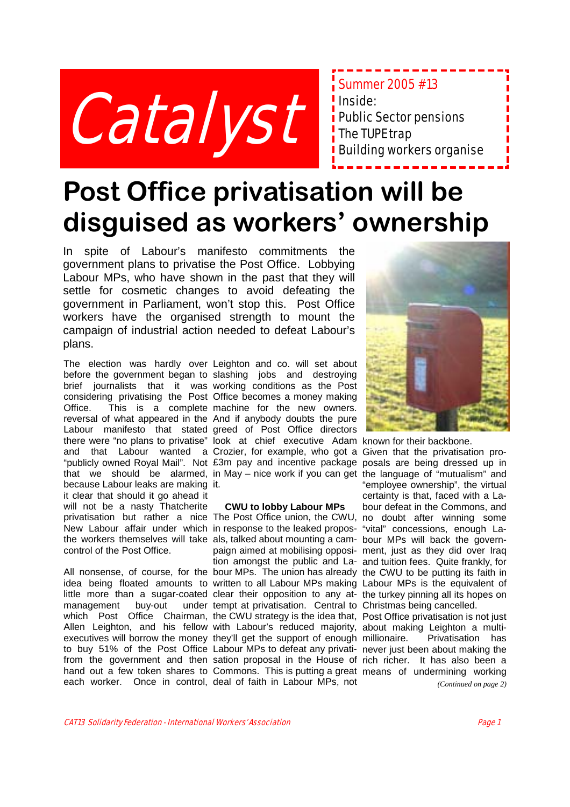

Summer 2005 #13 Inside: **i** Public Sector pensions  $\frac{1}{2}$  The TUPE trap **Building workers organise** 

## **Post Office privatisation will be disguised as workers' ownership**

In spite of Labour's manifesto commitments the government plans to privatise the Post Office. Lobbying Labour MPs, who have shown in the past that they will settle for cosmetic changes to avoid defeating the government in Parliament, won't stop this. Post Office workers have the organised strength to mount the campaign of industrial action needed to defeat Labour's plans.

because Labour leaks are making it. it clear that should it go ahead it will not be a nasty Thatcherite control of the Post Office.

management buy-out

The election was hardly over Leighton and co. will set about before the government began to slashing jobs and destroying brief journalists that it was working conditions as the Post considering privatising the Post Office becomes a money making Office. This is a complete machine for the new owners. reversal of what appeared in the And if anybody doubts the pure Labour manifesto that stated greed of Post Office directors there were "no plans to privatise" look at chief executive Adam known for their backbone. and that Labour wanted a Crozier, for example, who got a Given that the privatisation pro-"publicly owned Royal Mail". Not £3m pay and incentive package posals are being dressed up in that we should be alarmed, in May – nice work if you can get the language of "mutualism" and

#### **CWU to lobby Labour MPs**

privatisation but rather a nice The Post Office union, the CWU, no doubt after winning some New Labour affair under which in response to the leaked propos- "vital" concessions, enough Lathe workers themselves will take als, talked about mounting a cam- bour MPs will back the govern-All nonsense, of course, for the bour MPs. The union has already the CWU to be putting its faith in idea being floated amounts to written to all Labour MPs making Labour MPs is the equivalent of little more than a sugar-coated clear their opposition to any at- the turkey pinning all its hopes on which Post Office Chairman, the CWU strategy is the idea that, Post Office privatisation is not just Allen Leighton, and his fellow with Labour's reduced majority, about making Leighton a multiexecutives will borrow the money they'll get the support of enough to buy 51% of the Post Office Labour MPs to defeat any privati-never just been about making the from the government and then sation proposal in the House of rich richer. It has also been a hand out a few token shares to Commons. This is putting a great means of undermining working each worker. Once in control, deal of faith in Labour MPs, not paign aimed at mobilising opposi-ment, just as they did over Iraq tion amongst the public and La-and tuition fees. Quite frankly, for tempt at privatisation. Central to Christmas being cancelled.



"employee ownership", the virtual certainty is that, faced with a Labour defeat in the Commons, and

Privatisation has

*(Continued on page 2)*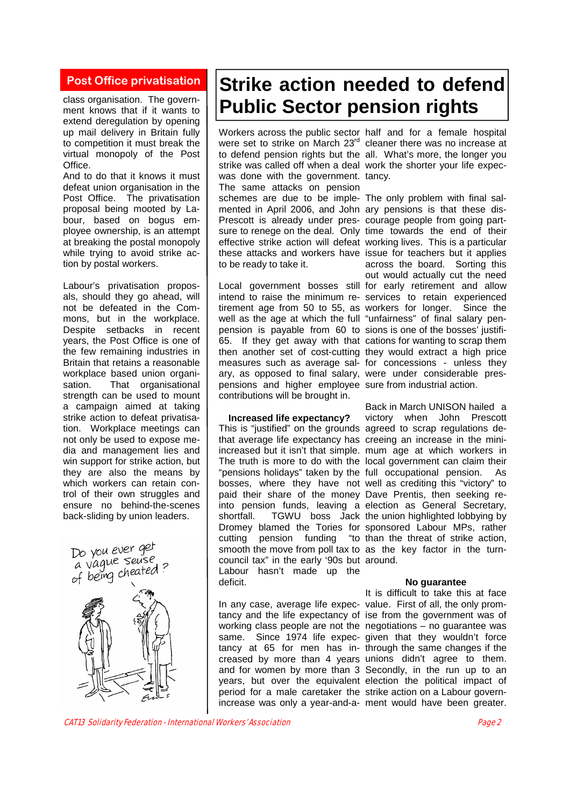#### **Post Office privatisation**

class organisation. The government knows that if it wants to extend deregulation by opening up mail delivery in Britain fully to competition it must break the virtual monopoly of the Post Office.

And to do that it knows it must defeat union organisation in the Post Office. The privatisation proposal being mooted by Labour, based on bogus employee ownership, is an attempt at breaking the postal monopoly while trying to avoid strike action by postal workers.

Labour's privatisation proposals, should they go ahead, will not be defeated in the Commons, but in the workplace. Despite setbacks in recent years, the Post Office is one of the few remaining industries in Britain that retains a reasonable workplace based union organisation. That organisational strength can be used to mount a campaign aimed at taking strike action to defeat privatisation. Workplace meetings can not only be used to expose media and management lies and win support for strike action, but they are also the means by which workers can retain control of their own struggles and ensure no behind-the-scenes back-sliding by union leaders.



### **Strike action needed to defend Public Sector pension rights**

Workers across the public sector half and for a female hospital were set to strike on March 23<sup>rd</sup> cleaner there was no increase at to defend pension rights but the all. What's more, the longer you strike was called off when a deal work the shorter your life expecwas done with the government. tancy. The same attacks on pension schemes are due to be imple-The only problem with final salmented in April 2006, and John ary pensions is that these dis-Prescott is already under pres-courage people from going partsure to renege on the deal. Only time towards the end of their effective strike action will defeat working lives. This is a particular these attacks and workers have issue for teachers but it applies to be ready to take it.

Local government bosses still for early retirement and allow intend to raise the minimum re-services to retain experienced tirement age from 50 to 55, as workers for longer. Since the well as the age at which the full "unfairness" of final salary penpension is payable from 60 to sions is one of the bosses' justifi-65. If they get away with that cations for wanting to scrap them then another set of cost-cutting they would extract a high price measures such as average sal-for concessions - unless they ary, as opposed to final salary, were under considerable prespensions and higher employee sure from industrial action. contributions will be brought in.

**Increased life expectancy?** 

This is "justified" on the grounds agreed to scrap regulations dethat average life expectancy has creeing an increase in the miniincreased but it isn't that simple. mum age at which workers in The truth is more to do with the local government can claim their "pensions holidays" taken by the full occupational pension. As bosses, where they have not well as crediting this "victory" to paid their share of the money Dave Prentis, then seeking reinto pension funds, leaving a election as General Secretary, shortfall. TGWU boss Jack the union highlighted lobbying by Dromey blamed the Tories for sponsored Labour MPs, rather cutting pension funding "to than the threat of strike action, smooth the move from poll tax to as the key factor in the turncouncil tax" in the early '90s but around. Labour hasn't made up the deficit.

In any case, average life expec-value. First of all, the only promtancy and the life expectancy of ise from the government was of working class people are not the negotiations – no guarantee was same. Since 1974 life expec-given that they wouldn't force tancy at 65 for men has in-through the same changes if the creased by more than 4 years unions didn't agree to them. and for women by more than 3 Secondly, in the run up to an years, but over the equivalent election the political impact of period for a male caretaker the strike action on a Labour govern-

across the board. Sorting this out would actually cut the need

Back in March UNISON hailed a victory when John Prescott

#### **No guarantee**

increase was only a year-and-a-ment would have been greater. It is difficult to take this at face

CAT13 Solidarity Federation - International Workers' Association Page 2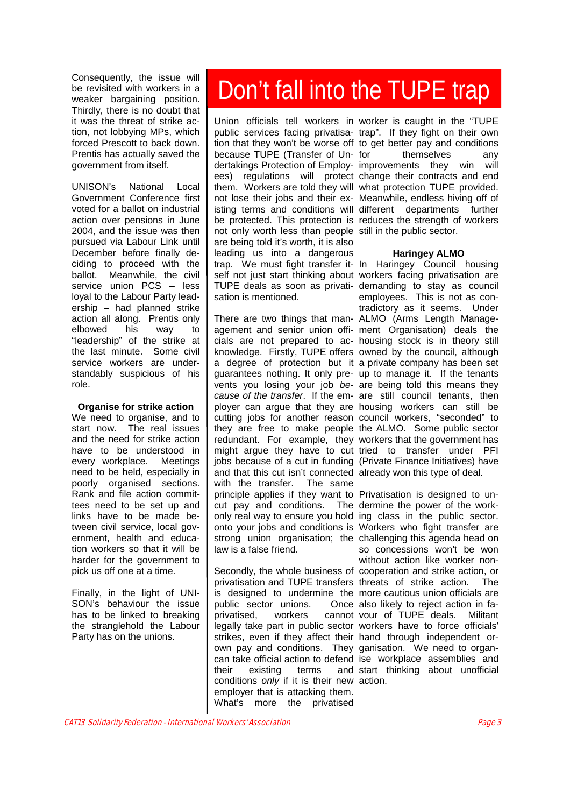be revisited with workers in a weaker bargaining position. Thirdly, there is no doubt that it was the threat of strike action, not lobbying MPs, which forced Prescott to back down. Prentis has actually saved the government from itself.

UNISON's National Local Government Conference first voted for a ballot on industrial action over pensions in June 2004, and the issue was then pursued via Labour Link until December before finally deciding to proceed with the ballot. Meanwhile, the civil service union PCS - less loyal to the Labour Party leadership – had planned strike action all along. Prentis only elbowed his way to "leadership" of the strike at the last minute. Some civil service workers are understandably suspicious of his role.

#### **Organise for strike action**

We need to organise, and to start now. The real issues and the need for strike action have to be understood in every workplace. Meetings need to be held, especially in poorly organised sections. Rank and file action committees need to be set up and links have to be made between civil service, local government, health and education workers so that it will be harder for the government to pick us off one at a time.

Finally, in the light of UNI-SON's behaviour the issue has to be linked to breaking the stranglehold the Labour Party has on the unions.

# Consequently, the issue will<br>be revisited with workers in a **Don't fall into the TUPE trap**

public services facing privatisa-trap". If they fight on their own tion that they won't be worse off to get better pay and conditions because TUPE (Transfer of Undertakings Protection of Employ-improvements they win will ees) regulations will protect change their contracts and end them. Workers are told they will what protection TUPE provided. not lose their jobs and their ex-Meanwhile, endless hiving off of isting terms and conditions will different departments further be protected. This protection is reduces the strength of workers not only worth less than people still in the public sector. are being told it's worth, it is also leading us into a dangerous trap. We must fight transfer it-In Haringey Council housing self not just start thinking about workers facing privatisation are TUPE deals as soon as privati-demanding to stay as council sation is mentioned.

There are two things that man-ALMO (Arms Length Manageagement and senior union offi-ment Organisation) deals the cials are not prepared to ac-housing stock is in theory still knowledge. Firstly, TUPE offers owned by the council, although a degree of protection but it a private company has been set guarantees nothing. It only pre-up to manage it. If the tenants vents you losing your job *be-*are being told this means they *cause of the transfer*. If the em-are still council tenants, then ployer can argue that they are housing workers can still be cutting jobs for another reason council workers, "seconded" to they are free to make people the ALMO. Some public sector redundant. For example, they workers that the government has might argue they have to cut tried to transfer under PFI jobs because of a cut in funding (Private Finance Initiatives) have and that this cut isn't connected already won this type of deal. with the transfer. The same principle applies if they want to Privatisation is designed to uncut pay and conditions. The dermine the power of the workonly real way to ensure you hold ing class in the public sector. onto your jobs and conditions is Workers who fight transfer are strong union organisation; the challenging this agenda head on law is a false friend.

Secondly, the whole business of cooperation and strike action, or privatisation and TUPE transfers threats of strike action. The is designed to undermine the more cautious union officials are public sector unions. privatised, workers legally take part in public sector workers have to force officials' strikes, even if they affect their hand through independent orown pay and conditions. They ganisation. We need to organcan take official action to defend ise workplace assemblies and their existing terms conditions *only* if it is their new action. employer that is attacking them. What's more the privatised

Union officials tell workers in worker is caught in the "TUPE themselves any

#### **Haringey ALMO**

employees. This is not as contradictory as it seems. Under

so concessions won't be won without action like worker non-Once also likely to reject action in facannot vour of TUPE deals. Militant and start thinking about unofficial